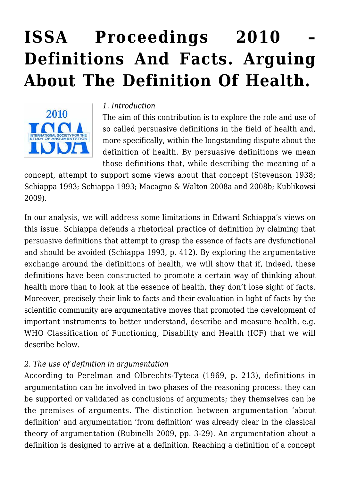# **[ISSA Proceedings 2010 –](https://rozenbergquarterly.com/issa-proceedings-2010-definitions-and-facts-arguing-about-the-definition-of-health/) [Definitions And Facts. Arguing](https://rozenbergquarterly.com/issa-proceedings-2010-definitions-and-facts-arguing-about-the-definition-of-health/) [About The Definition Of Health.](https://rozenbergquarterly.com/issa-proceedings-2010-definitions-and-facts-arguing-about-the-definition-of-health/)**



#### *1. Introduction*

The aim of this contribution is to explore the role and use of so called persuasive definitions in the field of health and, more specifically, within the longstanding dispute about the definition of health. By persuasive definitions we mean those definitions that, while describing the meaning of a

concept, attempt to support some views about that concept (Stevenson 1938; Schiappa 1993; Schiappa 1993; Macagno & Walton 2008a and 2008b; Kublikowsi 2009).

In our analysis, we will address some limitations in Edward Schiappa's views on this issue. Schiappa defends a rhetorical practice of definition by claiming that persuasive definitions that attempt to grasp the essence of facts are dysfunctional and should be avoided (Schiappa 1993, p. 412). By exploring the argumentative exchange around the definitions of health, we will show that if, indeed, these definitions have been constructed to promote a certain way of thinking about health more than to look at the essence of health, they don't lose sight of facts. Moreover, precisely their link to facts and their evaluation in light of facts by the scientific community are argumentative moves that promoted the development of important instruments to better understand, describe and measure health, e.g. WHO Classification of Functioning, Disability and Health (ICF) that we will describe below.

## *2. The use of definition in argumentation*

According to Perelman and Olbrechts-Tyteca (1969, p. 213), definitions in argumentation can be involved in two phases of the reasoning process: they can be supported or validated as conclusions of arguments; they themselves can be the premises of arguments. The distinction between argumentation 'about definition' and argumentation 'from definition' was already clear in the classical theory of argumentation (Rubinelli 2009, pp. 3-29). An argumentation about a definition is designed to arrive at a definition. Reaching a definition of a concept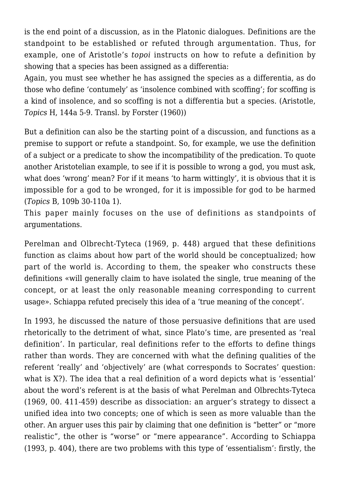is the end point of a discussion, as in the Platonic dialogues. Definitions are the standpoint to be established or refuted through argumentation. Thus, for example, one of Aristotle's *topoi* instructs on how to refute a definition by showing that a species has been assigned as a differentia:

Again, you must see whether he has assigned the species as a differentia, as do those who define 'contumely' as 'insolence combined with scoffing'; for scoffing is a kind of insolence, and so scoffing is not a differentia but a species. (Aristotle, *Topics* H, 144a 5-9. Transl. by Forster (1960))

But a definition can also be the starting point of a discussion, and functions as a premise to support or refute a standpoint. So, for example, we use the definition of a subject or a predicate to show the incompatibility of the predication. To quote another Aristotelian example, to see if it is possible to wrong a god, you must ask, what does 'wrong' mean? For if it means 'to harm wittingly', it is obvious that it is impossible for a god to be wronged, for it is impossible for god to be harmed (*Topics* B, 109b 30-110a 1).

This paper mainly focuses on the use of definitions as standpoints of argumentations.

Perelman and Olbrecht-Tyteca (1969, p. 448) argued that these definitions function as claims about how part of the world should be conceptualized; how part of the world is. According to them, the speaker who constructs these definitions «will generally claim to have isolated the single, true meaning of the concept, or at least the only reasonable meaning corresponding to current usage». Schiappa refuted precisely this idea of a 'true meaning of the concept'.

In 1993, he discussed the nature of those persuasive definitions that are used rhetorically to the detriment of what, since Plato's time, are presented as 'real definition'. In particular, real definitions refer to the efforts to define things rather than words. They are concerned with what the defining qualities of the referent 'really' and 'objectively' are (what corresponds to Socrates' question: what is X?). The idea that a real definition of a word depicts what is 'essential' about the word's referent is at the basis of what Perelman and Olbrechts-Tyteca (1969, 00. 411-459) describe as dissociation: an arguer's strategy to dissect a unified idea into two concepts; one of which is seen as more valuable than the other. An arguer uses this pair by claiming that one definition is "better" or "more realistic", the other is "worse" or "mere appearance". According to Schiappa (1993, p. 404), there are two problems with this type of 'essentialism': firstly, the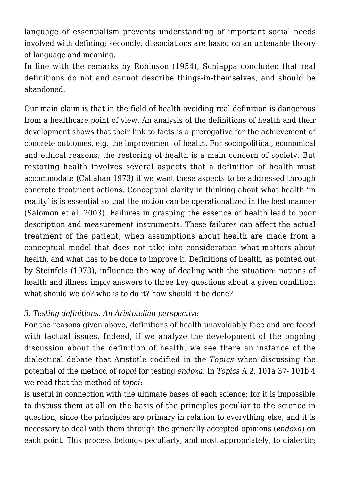language of essentialism prevents understanding of important social needs involved with defining; secondly, dissociations are based on an untenable theory of language and meaning.

In line with the remarks by Robinson (1954), Schiappa concluded that real definitions do not and cannot describe things-in-themselves, and should be abandoned.

Our main claim is that in the field of health avoiding real definition is dangerous from a healthcare point of view. An analysis of the definitions of health and their development shows that their link to facts is a prerogative for the achievement of concrete outcomes, e.g. the improvement of health. For sociopolitical, economical and ethical reasons, the restoring of health is a main concern of society. But restoring health involves several aspects that a definition of health must accommodate (Callahan 1973) if we want these aspects to be addressed through concrete treatment actions. Conceptual clarity in thinking about what health 'in reality' is is essential so that the notion can be operationalized in the best manner (Salomon et al. 2003). Failures in grasping the essence of health lead to poor description and measurement instruments. These failures can affect the actual treatment of the patient, when assumptions about health are made from a conceptual model that does not take into consideration what matters about health, and what has to be done to improve it. Definitions of health, as pointed out by Steinfels (1973), influence the way of dealing with the situation: notions of health and illness imply answers to three key questions about a given condition: what should we do? who is to do it? how should it be done?

### *3. Testing definitions. An Aristotelian perspective*

For the reasons given above, definitions of health unavoidably face and are faced with factual issues. Indeed, if we analyze the development of the ongoing discussion about the definition of health, we see there an instance of the dialectical debate that Aristotle codified in the *Topics* when discussing the potential of the method of *topoi* for testing *endoxa*. In *Topics* A 2, 101a 37- 101b 4 we read that the method of *topoi*:

is useful in connection with the ultimate bases of each science; for it is impossible to discuss them at all on the basis of the principles peculiar to the science in question, since the principles are primary in relation to everything else, and it is necessary to deal with them through the generally accepted opinions (*endoxa*) on each point. This process belongs peculiarly, and most appropriately, to dialectic;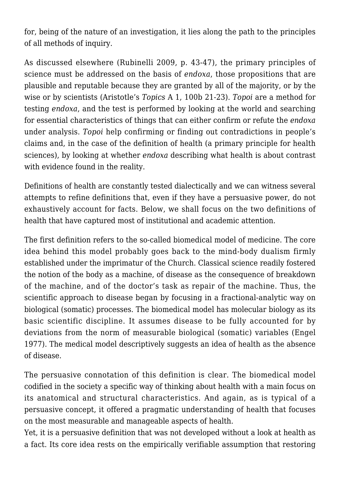for, being of the nature of an investigation, it lies along the path to the principles of all methods of inquiry.

As discussed elsewhere (Rubinelli 2009, p. 43-47), the primary principles of science must be addressed on the basis of *endoxa*, those propositions that are plausible and reputable because they are granted by all of the majority, or by the wise or by scientists (Aristotle's *Topics* A 1, 100b 21-23). *Topoi* are a method for testing *endoxa*, and the test is performed by looking at the world and searching for essential characteristics of things that can either confirm or refute the *endoxa* under analysis. *Topoi* help confirming or finding out contradictions in people's claims and, in the case of the definition of health (a primary principle for health sciences), by looking at whether *endoxa* describing what health is about contrast with evidence found in the reality.

Definitions of health are constantly tested dialectically and we can witness several attempts to refine definitions that, even if they have a persuasive power, do not exhaustively account for facts. Below, we shall focus on the two definitions of health that have captured most of institutional and academic attention.

The first definition refers to the so-called biomedical model of medicine. The core idea behind this model probably goes back to the mind-body dualism firmly established under the imprimatur of the Church. Classical science readily fostered the notion of the body as a machine, of disease as the consequence of breakdown of the machine, and of the doctor's task as repair of the machine. Thus, the scientific approach to disease began by focusing in a fractional-analytic way on biological (somatic) processes. The biomedical model has molecular biology as its basic scientific discipline. It assumes disease to be fully accounted for by deviations from the norm of measurable biological (somatic) variables (Engel 1977). The medical model descriptively suggests an idea of health as the absence of disease.

The persuasive connotation of this definition is clear. The biomedical model codified in the society a specific way of thinking about health with a main focus on its anatomical and structural characteristics. And again, as is typical of a persuasive concept, it offered a pragmatic understanding of health that focuses on the most measurable and manageable aspects of health.

Yet, it is a persuasive definition that was not developed without a look at health as a fact. Its core idea rests on the empirically verifiable assumption that restoring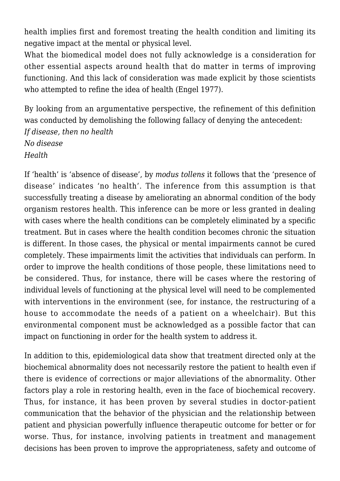health implies first and foremost treating the health condition and limiting its negative impact at the mental or physical level.

What the biomedical model does not fully acknowledge is a consideration for other essential aspects around health that do matter in terms of improving functioning. And this lack of consideration was made explicit by those scientists who attempted to refine the idea of health (Engel 1977).

By looking from an argumentative perspective, the refinement of this definition was conducted by demolishing the following fallacy of denying the antecedent: *If disease, then no health No disease Health*

If 'health' is 'absence of disease', by *modus tollens* it follows that the 'presence of disease' indicates 'no health'. The inference from this assumption is that successfully treating a disease by ameliorating an abnormal condition of the body organism restores health. This inference can be more or less granted in dealing with cases where the health conditions can be completely eliminated by a specific treatment. But in cases where the health condition becomes chronic the situation is different. In those cases, the physical or mental impairments cannot be cured completely. These impairments limit the activities that individuals can perform. In order to improve the health conditions of those people, these limitations need to be considered. Thus, for instance, there will be cases where the restoring of individual levels of functioning at the physical level will need to be complemented with interventions in the environment (see, for instance, the restructuring of a house to accommodate the needs of a patient on a wheelchair). But this environmental component must be acknowledged as a possible factor that can impact on functioning in order for the health system to address it.

In addition to this, epidemiological data show that treatment directed only at the biochemical abnormality does not necessarily restore the patient to health even if there is evidence of corrections or major alleviations of the abnormality. Other factors play a role in restoring health, even in the face of biochemical recovery. Thus, for instance, it has been proven by several studies in doctor-patient communication that the behavior of the physician and the relationship between patient and physician powerfully influence therapeutic outcome for better or for worse. Thus, for instance, involving patients in treatment and management decisions has been proven to improve the appropriateness, safety and outcome of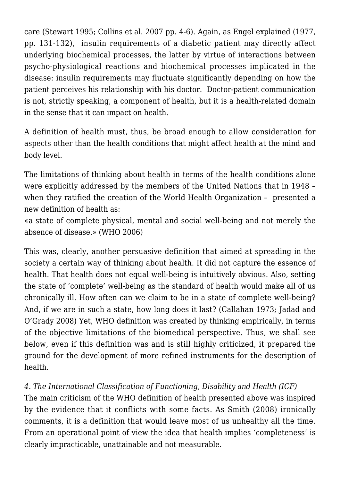care (Stewart 1995; Collins et al. 2007 pp. 4-6). Again, as Engel explained (1977, pp. 131-132), insulin requirements of a diabetic patient may directly affect underlying biochemical processes, the latter by virtue of interactions between psycho-physiological reactions and biochemical processes implicated in the disease: insulin requirements may fluctuate significantly depending on how the patient perceives his relationship with his doctor. Doctor-patient communication is not, strictly speaking, a component of health, but it is a health-related domain in the sense that it can impact on health.

A definition of health must, thus, be broad enough to allow consideration for aspects other than the health conditions that might affect health at the mind and body level.

The limitations of thinking about health in terms of the health conditions alone were explicitly addressed by the members of the United Nations that in 1948 – when they ratified the creation of the World Health Organization - presented a new definition of health as:

«a state of complete physical, mental and social well-being and not merely the absence of disease.» (WHO 2006)

This was, clearly, another persuasive definition that aimed at spreading in the society a certain way of thinking about health. It did not capture the essence of health. That health does not equal well-being is intuitively obvious. Also, setting the state of 'complete' well-being as the standard of health would make all of us chronically ill. How often can we claim to be in a state of complete well-being? And, if we are in such a state, how long does it last? (Callahan 1973; Jadad and O'Grady 2008) Yet, WHO definition was created by thinking empirically, in terms of the objective limitations of the biomedical perspective. Thus, we shall see below, even if this definition was and is still highly criticized, it prepared the ground for the development of more refined instruments for the description of health.

# *4. The International Classification of Functioning, Disability and Health (ICF)*

The main criticism of the WHO definition of health presented above was inspired by the evidence that it conflicts with some facts. As Smith (2008) ironically comments, it is a definition that would leave most of us unhealthy all the time. From an operational point of view the idea that health implies 'completeness' is clearly impracticable, unattainable and not measurable.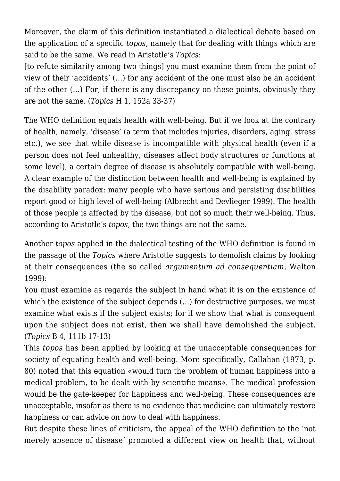Moreover, the claim of this definition instantiated a dialectical debate based on the application of a specific *topos*, namely that for dealing with things which are said to be the same. We read in Aristotle's *Topics*:

[to refute similarity among two things] you must examine them from the point of view of their 'accidents' (…) for any accident of the one must also be an accident of the other (…) For, if there is any discrepancy on these points, obviously they are not the same. (*Topics* H 1, 152a 33-37)

The WHO definition equals health with well-being. But if we look at the contrary of health, namely, 'disease' (a term that includes injuries, disorders, aging, stress etc.), we see that while disease is incompatible with physical health (even if a person does not feel unhealthy, diseases affect body structures or functions at some level), a certain degree of disease is absolutely compatible with well-being. A clear example of the distinction between health and well-being is explained by the disability paradox: many people who have serious and persisting disabilities report good or high level of well-being (Albrecht and Devlieger 1999). The health of those people is affected by the disease, but not so much their well-being. Thus, according to Aristotle's *topos*, the two things are not the same.

Another *topos* applied in the dialectical testing of the WHO definition is found in the passage of the *Topics* where Aristotle suggests to demolish claims by looking at their consequences (the so called *argumentum ad consequentiam*, Walton 1999):

You must examine as regards the subject in hand what it is on the existence of which the existence of the subject depends  $(...)$  for destructive purposes, we must examine what exists if the subject exists; for if we show that what is consequent upon the subject does not exist, then we shall have demolished the subject. (*Topics* B 4, 111b 17-13)

This *topos* has been applied by looking at the unacceptable consequences for society of equating health and well-being. More specifically, Callahan (1973, p. 80) noted that this equation «would turn the problem of human happiness into a medical problem, to be dealt with by scientific means». The medical profession would be the gate-keeper for happiness and well-being. These consequences are unacceptable, insofar as there is no evidence that medicine can ultimately restore happiness or can advice on how to deal with happiness.

But despite these lines of criticism, the appeal of the WHO definition to the 'not merely absence of disease' promoted a different view on health that, without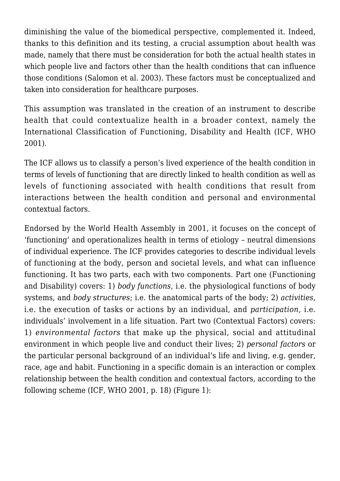diminishing the value of the biomedical perspective, complemented it. Indeed, thanks to this definition and its testing, a crucial assumption about health was made, namely that there must be consideration for both the actual health states in which people live and factors other than the health conditions that can influence those conditions (Salomon et al. 2003). These factors must be conceptualized and taken into consideration for healthcare purposes.

This assumption was translated in the creation of an instrument to describe health that could contextualize health in a broader context, namely the International Classification of Functioning, Disability and Health (ICF, WHO 2001).

The ICF allows us to classify a person's lived experience of the health condition in terms of levels of functioning that are directly linked to health condition as well as levels of functioning associated with health conditions that result from interactions between the health condition and personal and environmental contextual factors.

Endorsed by the World Health Assembly in 2001, it focuses on the concept of 'functioning' and operationalizes health in terms of etiology – neutral dimensions of individual experience. The ICF provides categories to describe individual levels of functioning at the body, person and societal levels, and what can influence functioning. It has two parts, each with two components. Part one (Functioning and Disability) covers: 1) *body functions*, i.e. the physiological functions of body systems, and *body structures*; i.e. the anatomical parts of the body; 2) *activities*, i.e. the execution of tasks or actions by an individual, and *participation*, i.e. individuals' involvement in a life situation. Part two (Contextual Factors) covers: 1) *environmental factors* that make up the physical, social and attitudinal environment in which people live and conduct their lives; 2) *personal factors* or the particular personal background of an individual's life and living, e.g. gender, race, age and habit. Functioning in a specific domain is an interaction or complex relationship between the health condition and contextual factors, according to the following scheme (ICF, WHO 2001, p. 18) (Figure 1):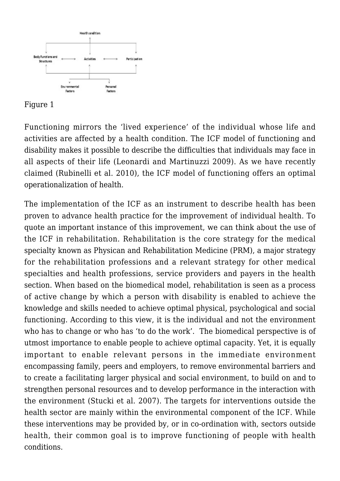

#### Figure 1

Functioning mirrors the 'lived experience' of the individual whose life and activities are affected by a health condition. The ICF model of functioning and disability makes it possible to describe the difficulties that individuals may face in all aspects of their life (Leonardi and Martinuzzi 2009). As we have recently claimed (Rubinelli et al. 2010), the ICF model of functioning offers an optimal operationalization of health.

The implementation of the ICF as an instrument to describe health has been proven to advance health practice for the improvement of individual health. To quote an important instance of this improvement, we can think about the use of the ICF in rehabilitation. Rehabilitation is the core strategy for the medical specialty known as Physican and Rehabilitation Medicine (PRM), a major strategy for the rehabilitation professions and a relevant strategy for other medical specialties and health professions, service providers and payers in the health section. When based on the biomedical model, rehabilitation is seen as a process of active change by which a person with disability is enabled to achieve the knowledge and skills needed to achieve optimal physical, psychological and social functioning. According to this view, it is the individual and not the environment who has to change or who has 'to do the work'. The biomedical perspective is of utmost importance to enable people to achieve optimal capacity. Yet, it is equally important to enable relevant persons in the immediate environment encompassing family, peers and employers, to remove environmental barriers and to create a facilitating larger physical and social environment, to build on and to strengthen personal resources and to develop performance in the interaction with the environment (Stucki et al. 2007). The targets for interventions outside the health sector are mainly within the environmental component of the ICF. While these interventions may be provided by, or in co-ordination with, sectors outside health, their common goal is to improve functioning of people with health conditions.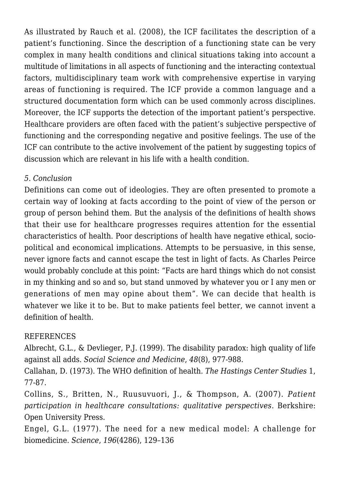As illustrated by Rauch et al. (2008), the ICF facilitates the description of a patient's functioning. Since the description of a functioning state can be very complex in many health conditions and clinical situations taking into account a multitude of limitations in all aspects of functioning and the interacting contextual factors, multidisciplinary team work with comprehensive expertise in varying areas of functioning is required. The ICF provide a common language and a structured documentation form which can be used commonly across disciplines. Moreover, the ICF supports the detection of the important patient's perspective. Healthcare providers are often faced with the patient's subjective perspective of functioning and the corresponding negative and positive feelings. The use of the ICF can contribute to the active involvement of the patient by suggesting topics of discussion which are relevant in his life with a health condition.

## *5. Conclusion*

Definitions can come out of ideologies. They are often presented to promote a certain way of looking at facts according to the point of view of the person or group of person behind them. But the analysis of the definitions of health shows that their use for healthcare progresses requires attention for the essential characteristics of health. Poor descriptions of health have negative ethical, sociopolitical and economical implications. Attempts to be persuasive, in this sense, never ignore facts and cannot escape the test in light of facts. As Charles Peirce would probably conclude at this point: "Facts are hard things which do not consist in my thinking and so and so, but stand unmoved by whatever you or I any men or generations of men may opine about them". We can decide that health is whatever we like it to be. But to make patients feel better, we cannot invent a definition of health.

# REFERENCES

Albrecht, G.L., & Devlieger, P.J. (1999). The disability paradox: high quality of life against all adds. *Social Science and Medicine*, *48*(8), 977-988.

Callahan, D. (1973). The WHO definition of health. *The Hastings Center Studies* 1, 77-87.

Collins, S., Britten, N., Ruusuvuori, J., & Thompson, A. (2007). *Patient participation in healthcare consultations: qualitative perspectives*. Berkshire: Open University Press.

Engel, G.L. (1977). The need for a new medical model: A challenge for biomedicine. *Science*, *196*(4286), 129–136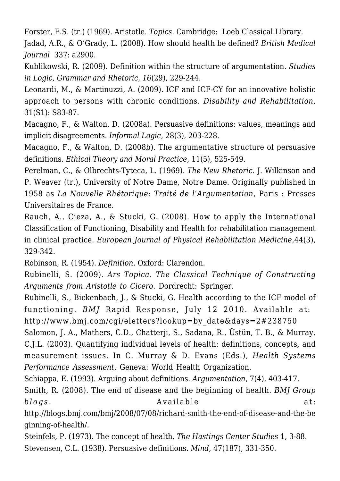Forster, E.S. (tr.) (1969). Aristotle. *Topics*. Cambridge: Loeb Classical Library. Jadad, A.R., & O'Grady, L. (2008). How should health be defined? *British Medical Journal* 337: a2900.

Kublikowski, R. (2009). Definition within the structure of argumentation. *Studies in Logic, Grammar and Rhetoric*, *16*(29), 229-244.

Leonardi, M., & Martinuzzi, A. (2009). ICF and ICF-CY for an innovative holistic approach to persons with chronic conditions. *Disability and Rehabilitation*, 31(S1): S83-87.

Macagno, F., & Walton, D. (2008a). Persuasive definitions: values, meanings and implicit disagreements. *Informal Logic*, 28(3), 203-228.

Macagno, F., & Walton, D. (2008b). The argumentative structure of persuasive definitions. *Ethical Theory and Moral Practice*, 11(5), 525-549.

Perelman, C., & Olbrechts-Tyteca, L. (1969). *The New Rhetoric*. J. Wilkinson and P. Weaver (tr.), University of Notre Dame, Notre Dame. Originally published in 1958 as *La Nouvelle Rhétorique: Traité de l'Argumentation*, Paris : Presses Universitaires de France.

Rauch, A., Cieza, A., & Stucki, G. (2008). How to apply the International Classification of Functioning, Disability and Health for rehabilitation management in clinical practice. *European Journal of Physical Rehabilitation Medicine*,44(3), 329-342.

Robinson, R. (1954). *Definition*. Oxford: Clarendon.

Rubinelli, S. (2009). *Ars Topica. The Classical Technique of Constructing Arguments from Aristotle to Cicero*. Dordrecht: Springer.

Rubinelli, S., Bickenbach, J., & Stucki, G. Health according to the ICF model of functioning. *BMJ* Rapid Response, July 12 2010. Available at: http://www.bmj.com/cgi/eletters?lookup=by\_date&days=2#238750

Salomon, J. A., Mathers, C.D., Chatterji, S., Sadana, R., Üstün, T. B., & Murray, C.J.L. (2003). Quantifying individual levels of health: definitions, concepts, and measurement issues. In C. Murray & D. Evans (Eds.), *Health Systems Performance Assessment*. Geneva: World Health Organization.

Schiappa, E. (1993). Arguing about definitions. *Argumentation*, 7(4), 403-417.

Smith, R. (2008). The end of disease and the beginning of health. *BMJ Group blogs*. at: Available at:

http://blogs.bmj.com/bmj/2008/07/08/richard-smith-the-end-of-disease-and-the-be ginning-of-health/.

Steinfels, P. (1973). The concept of health. *The Hastings Center Studies* 1, 3-88. Stevensen, C.L. (1938). Persuasive definitions. *Mind*, 47(187), 331-350.